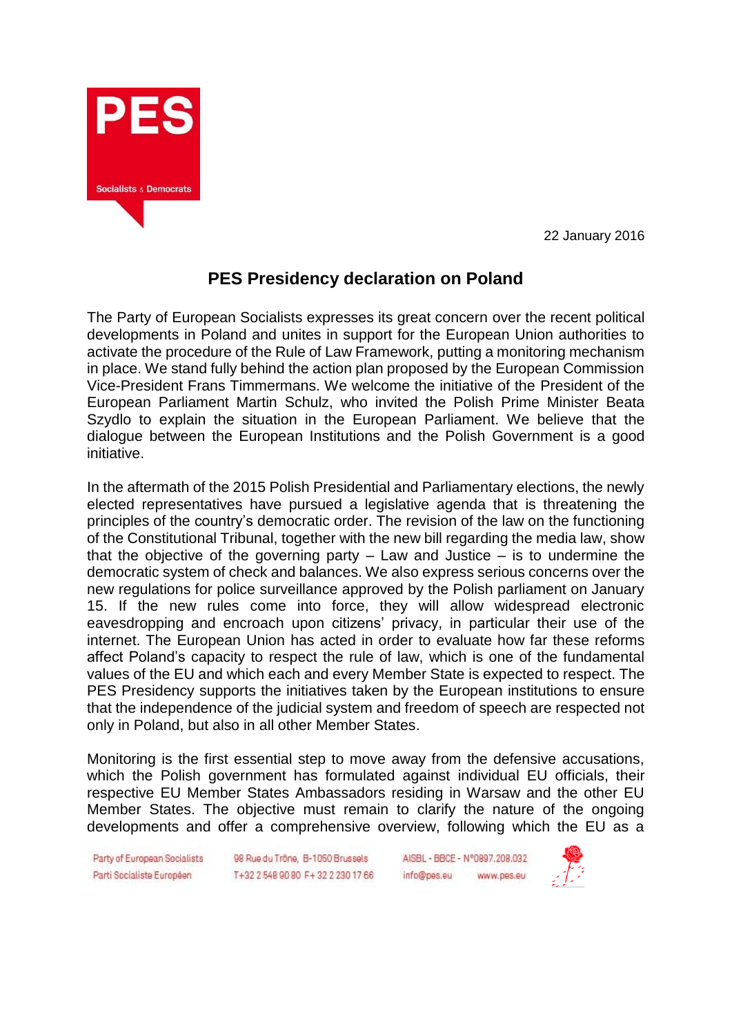

22 January 2016

## **PES Presidency declaration on Poland**

The Party of European Socialists expresses its great concern over the recent political developments in Poland and unites in support for the European Union authorities to activate the procedure of the Rule of Law Framework, putting a monitoring mechanism in place. We stand fully behind the action plan proposed by the European Commission Vice-President Frans Timmermans. We welcome the initiative of the President of the European Parliament Martin Schulz, who invited the Polish Prime Minister Beata Szydlo to explain the situation in the European Parliament. We believe that the dialogue between the European Institutions and the Polish Government is a good initiative.

In the aftermath of the 2015 Polish Presidential and Parliamentary elections, the newly elected representatives have pursued a legislative agenda that is threatening the principles of the country's democratic order. The revision of the law on the functioning of the Constitutional Tribunal, together with the new bill regarding the media law, show that the objective of the governing party  $-$  Law and Justice  $-$  is to undermine the democratic system of check and balances. We also express serious concerns over the new regulations for police surveillance approved by the Polish parliament on January 15. If the new rules come into force, they will allow widespread electronic eavesdropping and encroach upon citizens' privacy, in particular their use of the internet. The European Union has acted in order to evaluate how far these reforms affect Poland's capacity to respect the rule of law, which is one of the fundamental values of the EU and which each and every Member State is expected to respect. The PES Presidency supports the initiatives taken by the European institutions to ensure that the independence of the judicial system and freedom of speech are respected not only in Poland, but also in all other Member States.

Monitoring is the first essential step to move away from the defensive accusations, which the Polish government has formulated against individual EU officials, their respective EU Member States Ambassadors residing in Warsaw and the other EU Member States. The objective must remain to clarify the nature of the ongoing developments and offer a comprehensive overview, following which the EU as a

Party of European Socialists Parti Socialiste Européen

98 Rue du Trône, B-1050 Brussels T+32 2 548 90 80 F+32 2 230 17 66

AISBL - BBCE - N°0997.209.032 info@pes.eu www.pes.eu